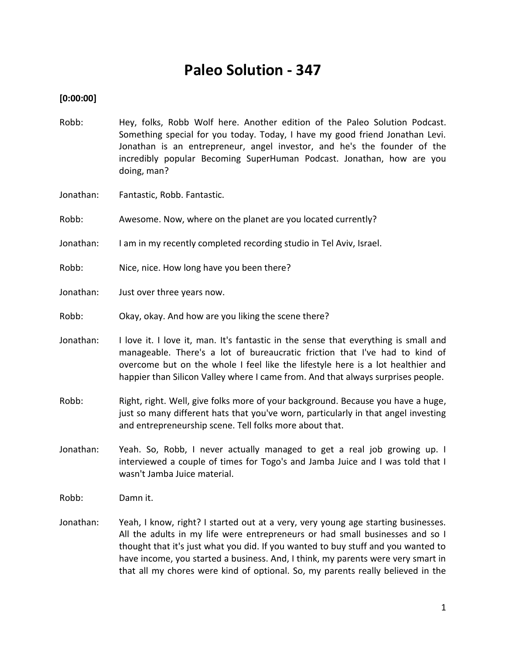# **Paleo Solution - 347**

# **[0:00:00]**

- Robb: Hey, folks, Robb Wolf here. Another edition of the Paleo Solution Podcast. Something special for you today. Today, I have my good friend Jonathan Levi. Jonathan is an entrepreneur, angel investor, and he's the founder of the incredibly popular Becoming SuperHuman Podcast. Jonathan, how are you doing, man?
- Jonathan: Fantastic, Robb. Fantastic.
- Robb: Awesome. Now, where on the planet are you located currently?
- Jonathan: I am in my recently completed recording studio in Tel Aviv, Israel.
- Robb: Nice, nice. How long have you been there?
- Jonathan: Just over three years now.
- Robb: Okay, okay. And how are you liking the scene there?
- Jonathan: I love it. I love it, man. It's fantastic in the sense that everything is small and manageable. There's a lot of bureaucratic friction that I've had to kind of overcome but on the whole I feel like the lifestyle here is a lot healthier and happier than Silicon Valley where I came from. And that always surprises people.
- Robb: Right, right. Well, give folks more of your background. Because you have a huge, just so many different hats that you've worn, particularly in that angel investing and entrepreneurship scene. Tell folks more about that.
- Jonathan: Yeah. So, Robb, I never actually managed to get a real job growing up. I interviewed a couple of times for Togo's and Jamba Juice and I was told that I wasn't Jamba Juice material.
- Robb: Damn it.
- Jonathan: Yeah, I know, right? I started out at a very, very young age starting businesses. All the adults in my life were entrepreneurs or had small businesses and so I thought that it's just what you did. If you wanted to buy stuff and you wanted to have income, you started a business. And, I think, my parents were very smart in that all my chores were kind of optional. So, my parents really believed in the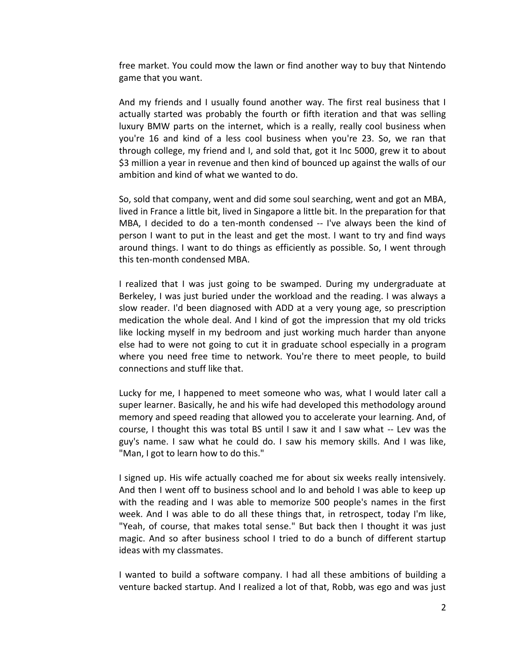free market. You could mow the lawn or find another way to buy that Nintendo game that you want.

And my friends and I usually found another way. The first real business that I actually started was probably the fourth or fifth iteration and that was selling luxury BMW parts on the internet, which is a really, really cool business when you're 16 and kind of a less cool business when you're 23. So, we ran that through college, my friend and I, and sold that, got it Inc 5000, grew it to about \$3 million a year in revenue and then kind of bounced up against the walls of our ambition and kind of what we wanted to do.

So, sold that company, went and did some soul searching, went and got an MBA, lived in France a little bit, lived in Singapore a little bit. In the preparation for that MBA, I decided to do a ten-month condensed -- I've always been the kind of person I want to put in the least and get the most. I want to try and find ways around things. I want to do things as efficiently as possible. So, I went through this ten-month condensed MBA.

I realized that I was just going to be swamped. During my undergraduate at Berkeley, I was just buried under the workload and the reading. I was always a slow reader. I'd been diagnosed with ADD at a very young age, so prescription medication the whole deal. And I kind of got the impression that my old tricks like locking myself in my bedroom and just working much harder than anyone else had to were not going to cut it in graduate school especially in a program where you need free time to network. You're there to meet people, to build connections and stuff like that.

Lucky for me, I happened to meet someone who was, what I would later call a super learner. Basically, he and his wife had developed this methodology around memory and speed reading that allowed you to accelerate your learning. And, of course, I thought this was total BS until I saw it and I saw what -- Lev was the guy's name. I saw what he could do. I saw his memory skills. And I was like, "Man, I got to learn how to do this."

I signed up. His wife actually coached me for about six weeks really intensively. And then I went off to business school and lo and behold I was able to keep up with the reading and I was able to memorize 500 people's names in the first week. And I was able to do all these things that, in retrospect, today I'm like, "Yeah, of course, that makes total sense." But back then I thought it was just magic. And so after business school I tried to do a bunch of different startup ideas with my classmates.

I wanted to build a software company. I had all these ambitions of building a venture backed startup. And I realized a lot of that, Robb, was ego and was just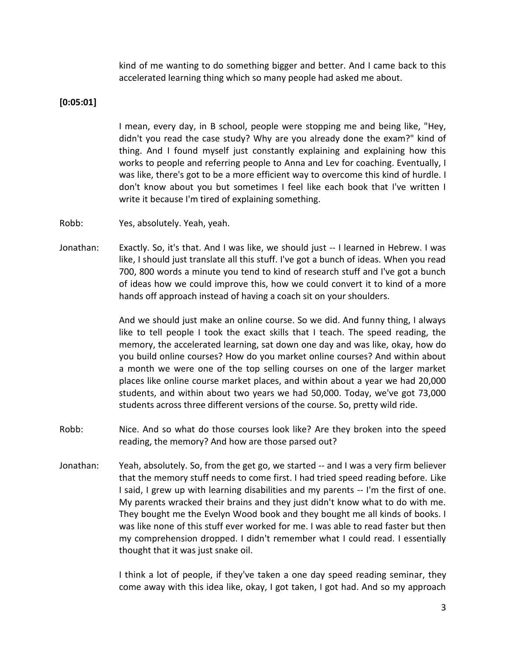kind of me wanting to do something bigger and better. And I came back to this accelerated learning thing which so many people had asked me about.

#### **[0:05:01]**

I mean, every day, in B school, people were stopping me and being like, "Hey, didn't you read the case study? Why are you already done the exam?" kind of thing. And I found myself just constantly explaining and explaining how this works to people and referring people to Anna and Lev for coaching. Eventually, I was like, there's got to be a more efficient way to overcome this kind of hurdle. I don't know about you but sometimes I feel like each book that I've written I write it because I'm tired of explaining something.

- Robb: Yes, absolutely. Yeah, yeah.
- Jonathan: Exactly. So, it's that. And I was like, we should just -- I learned in Hebrew. I was like, I should just translate all this stuff. I've got a bunch of ideas. When you read 700, 800 words a minute you tend to kind of research stuff and I've got a bunch of ideas how we could improve this, how we could convert it to kind of a more hands off approach instead of having a coach sit on your shoulders.

And we should just make an online course. So we did. And funny thing, I always like to tell people I took the exact skills that I teach. The speed reading, the memory, the accelerated learning, sat down one day and was like, okay, how do you build online courses? How do you market online courses? And within about a month we were one of the top selling courses on one of the larger market places like online course market places, and within about a year we had 20,000 students, and within about two years we had 50,000. Today, we've got 73,000 students across three different versions of the course. So, pretty wild ride.

- Robb: Nice. And so what do those courses look like? Are they broken into the speed reading, the memory? And how are those parsed out?
- Jonathan: Yeah, absolutely. So, from the get go, we started -- and I was a very firm believer that the memory stuff needs to come first. I had tried speed reading before. Like I said, I grew up with learning disabilities and my parents -- I'm the first of one. My parents wracked their brains and they just didn't know what to do with me. They bought me the Evelyn Wood book and they bought me all kinds of books. I was like none of this stuff ever worked for me. I was able to read faster but then my comprehension dropped. I didn't remember what I could read. I essentially thought that it was just snake oil.

I think a lot of people, if they've taken a one day speed reading seminar, they come away with this idea like, okay, I got taken, I got had. And so my approach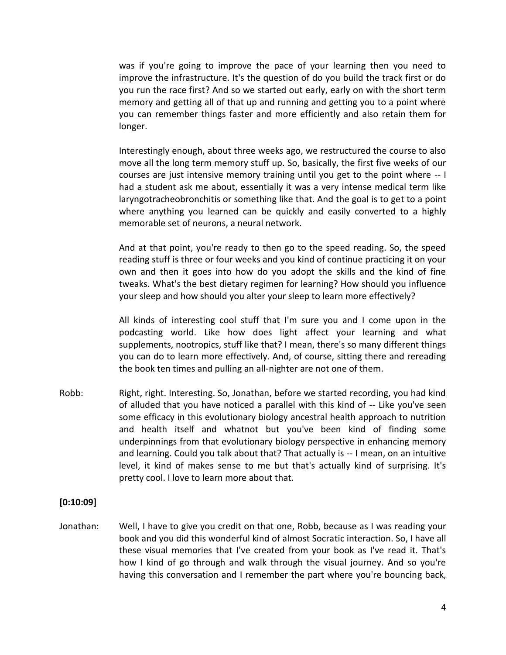was if you're going to improve the pace of your learning then you need to improve the infrastructure. It's the question of do you build the track first or do you run the race first? And so we started out early, early on with the short term memory and getting all of that up and running and getting you to a point where you can remember things faster and more efficiently and also retain them for longer.

Interestingly enough, about three weeks ago, we restructured the course to also move all the long term memory stuff up. So, basically, the first five weeks of our courses are just intensive memory training until you get to the point where -- I had a student ask me about, essentially it was a very intense medical term like laryngotracheobronchitis or something like that. And the goal is to get to a point where anything you learned can be quickly and easily converted to a highly memorable set of neurons, a neural network.

And at that point, you're ready to then go to the speed reading. So, the speed reading stuff is three or four weeks and you kind of continue practicing it on your own and then it goes into how do you adopt the skills and the kind of fine tweaks. What's the best dietary regimen for learning? How should you influence your sleep and how should you alter your sleep to learn more effectively?

All kinds of interesting cool stuff that I'm sure you and I come upon in the podcasting world. Like how does light affect your learning and what supplements, nootropics, stuff like that? I mean, there's so many different things you can do to learn more effectively. And, of course, sitting there and rereading the book ten times and pulling an all-nighter are not one of them.

Robb: Right, right. Interesting. So, Jonathan, before we started recording, you had kind of alluded that you have noticed a parallel with this kind of -- Like you've seen some efficacy in this evolutionary biology ancestral health approach to nutrition and health itself and whatnot but you've been kind of finding some underpinnings from that evolutionary biology perspective in enhancing memory and learning. Could you talk about that? That actually is -- I mean, on an intuitive level, it kind of makes sense to me but that's actually kind of surprising. It's pretty cool. I love to learn more about that.

#### **[0:10:09]**

Jonathan: Well, I have to give you credit on that one, Robb, because as I was reading your book and you did this wonderful kind of almost Socratic interaction. So, I have all these visual memories that I've created from your book as I've read it. That's how I kind of go through and walk through the visual journey. And so you're having this conversation and I remember the part where you're bouncing back,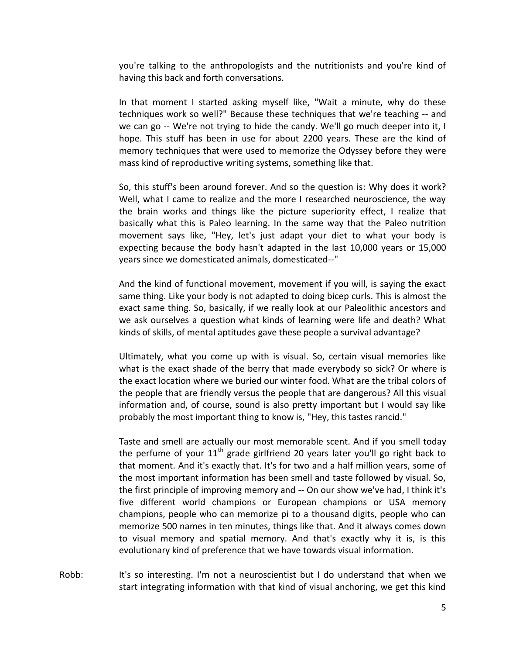you're talking to the anthropologists and the nutritionists and you're kind of having this back and forth conversations.

In that moment I started asking myself like, "Wait a minute, why do these techniques work so well?" Because these techniques that we're teaching -- and we can go -- We're not trying to hide the candy. We'll go much deeper into it, I hope. This stuff has been in use for about 2200 years. These are the kind of memory techniques that were used to memorize the Odyssey before they were mass kind of reproductive writing systems, something like that.

So, this stuff's been around forever. And so the question is: Why does it work? Well, what I came to realize and the more I researched neuroscience, the way the brain works and things like the picture superiority effect, I realize that basically what this is Paleo learning. In the same way that the Paleo nutrition movement says like, "Hey, let's just adapt your diet to what your body is expecting because the body hasn't adapted in the last 10,000 years or 15,000 years since we domesticated animals, domesticated--"

And the kind of functional movement, movement if you will, is saying the exact same thing. Like your body is not adapted to doing bicep curls. This is almost the exact same thing. So, basically, if we really look at our Paleolithic ancestors and we ask ourselves a question what kinds of learning were life and death? What kinds of skills, of mental aptitudes gave these people a survival advantage?

Ultimately, what you come up with is visual. So, certain visual memories like what is the exact shade of the berry that made everybody so sick? Or where is the exact location where we buried our winter food. What are the tribal colors of the people that are friendly versus the people that are dangerous? All this visual information and, of course, sound is also pretty important but I would say like probably the most important thing to know is, "Hey, this tastes rancid."

Taste and smell are actually our most memorable scent. And if you smell today the perfume of your  $11<sup>th</sup>$  grade girlfriend 20 years later you'll go right back to that moment. And it's exactly that. It's for two and a half million years, some of the most important information has been smell and taste followed by visual. So, the first principle of improving memory and -- On our show we've had, I think it's five different world champions or European champions or USA memory champions, people who can memorize pi to a thousand digits, people who can memorize 500 names in ten minutes, things like that. And it always comes down to visual memory and spatial memory. And that's exactly why it is, is this evolutionary kind of preference that we have towards visual information.

Robb: It's so interesting. I'm not a neuroscientist but I do understand that when we start integrating information with that kind of visual anchoring, we get this kind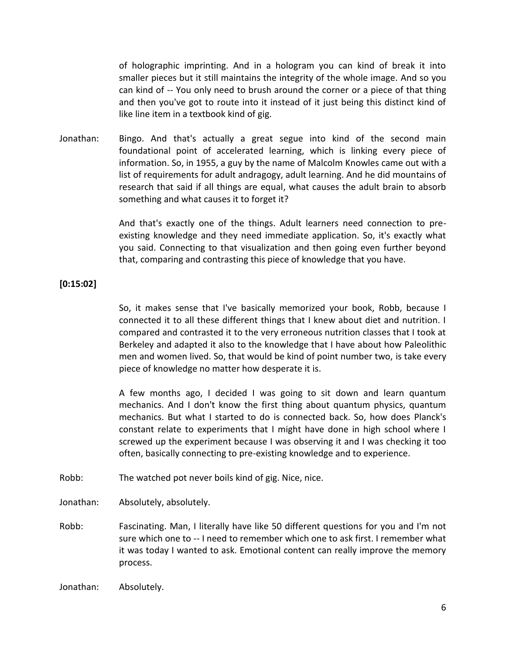of holographic imprinting. And in a hologram you can kind of break it into smaller pieces but it still maintains the integrity of the whole image. And so you can kind of -- You only need to brush around the corner or a piece of that thing and then you've got to route into it instead of it just being this distinct kind of like line item in a textbook kind of gig.

Jonathan: Bingo. And that's actually a great segue into kind of the second main foundational point of accelerated learning, which is linking every piece of information. So, in 1955, a guy by the name of Malcolm Knowles came out with a list of requirements for adult andragogy, adult learning. And he did mountains of research that said if all things are equal, what causes the adult brain to absorb something and what causes it to forget it?

> And that's exactly one of the things. Adult learners need connection to preexisting knowledge and they need immediate application. So, it's exactly what you said. Connecting to that visualization and then going even further beyond that, comparing and contrasting this piece of knowledge that you have.

## **[0:15:02]**

So, it makes sense that I've basically memorized your book, Robb, because I connected it to all these different things that I knew about diet and nutrition. I compared and contrasted it to the very erroneous nutrition classes that I took at Berkeley and adapted it also to the knowledge that I have about how Paleolithic men and women lived. So, that would be kind of point number two, is take every piece of knowledge no matter how desperate it is.

A few months ago, I decided I was going to sit down and learn quantum mechanics. And I don't know the first thing about quantum physics, quantum mechanics. But what I started to do is connected back. So, how does Planck's constant relate to experiments that I might have done in high school where I screwed up the experiment because I was observing it and I was checking it too often, basically connecting to pre-existing knowledge and to experience.

- Robb: The watched pot never boils kind of gig. Nice, nice.
- Jonathan: Absolutely, absolutely.
- Robb: Fascinating. Man, I literally have like 50 different questions for you and I'm not sure which one to -- I need to remember which one to ask first. I remember what it was today I wanted to ask. Emotional content can really improve the memory process.

Jonathan: Absolutely.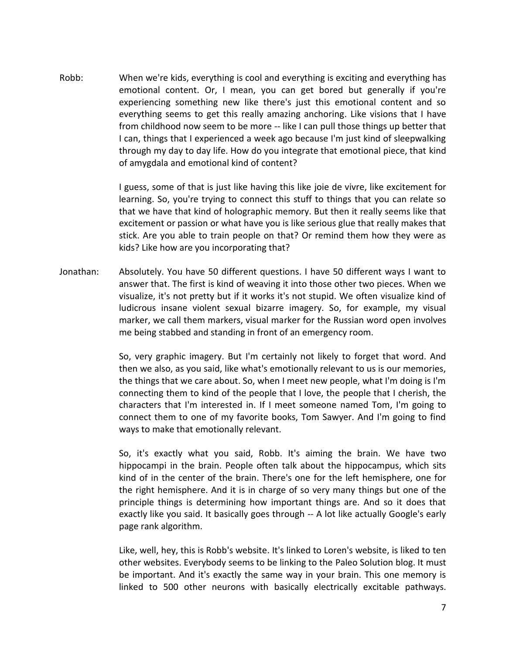Robb: When we're kids, everything is cool and everything is exciting and everything has emotional content. Or, I mean, you can get bored but generally if you're experiencing something new like there's just this emotional content and so everything seems to get this really amazing anchoring. Like visions that I have from childhood now seem to be more -- like I can pull those things up better that I can, things that I experienced a week ago because I'm just kind of sleepwalking through my day to day life. How do you integrate that emotional piece, that kind of amygdala and emotional kind of content?

> I guess, some of that is just like having this like joie de vivre, like excitement for learning. So, you're trying to connect this stuff to things that you can relate so that we have that kind of holographic memory. But then it really seems like that excitement or passion or what have you is like serious glue that really makes that stick. Are you able to train people on that? Or remind them how they were as kids? Like how are you incorporating that?

Jonathan: Absolutely. You have 50 different questions. I have 50 different ways I want to answer that. The first is kind of weaving it into those other two pieces. When we visualize, it's not pretty but if it works it's not stupid. We often visualize kind of ludicrous insane violent sexual bizarre imagery. So, for example, my visual marker, we call them markers, visual marker for the Russian word open involves me being stabbed and standing in front of an emergency room.

> So, very graphic imagery. But I'm certainly not likely to forget that word. And then we also, as you said, like what's emotionally relevant to us is our memories, the things that we care about. So, when I meet new people, what I'm doing is I'm connecting them to kind of the people that I love, the people that I cherish, the characters that I'm interested in. If I meet someone named Tom, I'm going to connect them to one of my favorite books, Tom Sawyer. And I'm going to find ways to make that emotionally relevant.

> So, it's exactly what you said, Robb. It's aiming the brain. We have two hippocampi in the brain. People often talk about the hippocampus, which sits kind of in the center of the brain. There's one for the left hemisphere, one for the right hemisphere. And it is in charge of so very many things but one of the principle things is determining how important things are. And so it does that exactly like you said. It basically goes through -- A lot like actually Google's early page rank algorithm.

> Like, well, hey, this is Robb's website. It's linked to Loren's website, is liked to ten other websites. Everybody seems to be linking to the Paleo Solution blog. It must be important. And it's exactly the same way in your brain. This one memory is linked to 500 other neurons with basically electrically excitable pathways.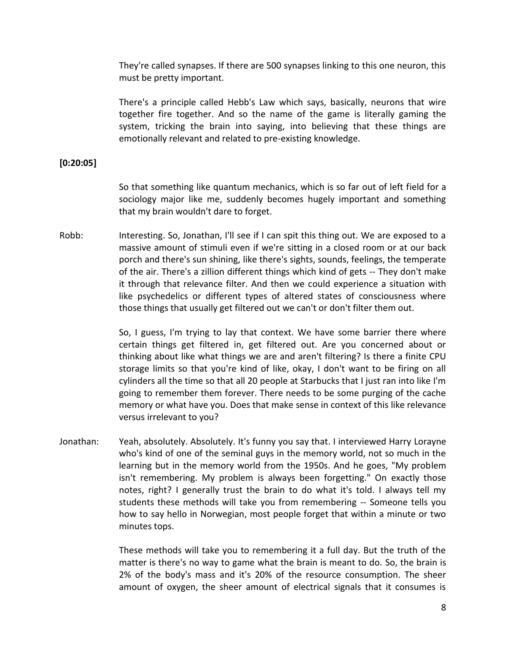They're called synapses. If there are 500 synapses linking to this one neuron, this must be pretty important.

There's a principle called Hebb's Law which says, basically, neurons that wire together fire together. And so the name of the game is literally gaming the system, tricking the brain into saying, into believing that these things are emotionally relevant and related to pre-existing knowledge.

# **[0:20:05]**

So that something like quantum mechanics, which is so far out of left field for a sociology major like me, suddenly becomes hugely important and something that my brain wouldn't dare to forget.

Robb: Interesting. So, Jonathan, I'll see if I can spit this thing out. We are exposed to a massive amount of stimuli even if we're sitting in a closed room or at our back porch and there's sun shining, like there's sights, sounds, feelings, the temperate of the air. There's a zillion different things which kind of gets -- They don't make it through that relevance filter. And then we could experience a situation with like psychedelics or different types of altered states of consciousness where those things that usually get filtered out we can't or don't filter them out.

> So, I guess, I'm trying to lay that context. We have some barrier there where certain things get filtered in, get filtered out. Are you concerned about or thinking about like what things we are and aren't filtering? Is there a finite CPU storage limits so that you're kind of like, okay, I don't want to be firing on all cylinders all the time so that all 20 people at Starbucks that I just ran into like I'm going to remember them forever. There needs to be some purging of the cache memory or what have you. Does that make sense in context of this like relevance versus irrelevant to you?

Jonathan: Yeah, absolutely. Absolutely. It's funny you say that. I interviewed Harry Lorayne who's kind of one of the seminal guys in the memory world, not so much in the learning but in the memory world from the 1950s. And he goes, "My problem isn't remembering. My problem is always been forgetting." On exactly those notes, right? I generally trust the brain to do what it's told. I always tell my students these methods will take you from remembering -- Someone tells you how to say hello in Norwegian, most people forget that within a minute or two minutes tops.

> These methods will take you to remembering it a full day. But the truth of the matter is there's no way to game what the brain is meant to do. So, the brain is 2% of the body's mass and it's 20% of the resource consumption. The sheer amount of oxygen, the sheer amount of electrical signals that it consumes is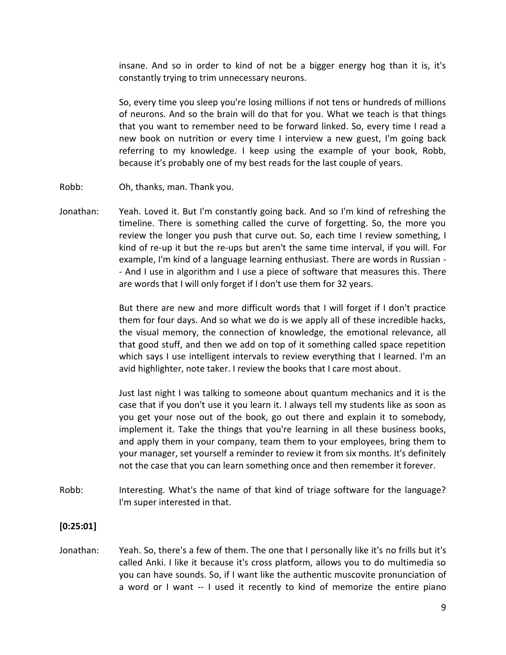insane. And so in order to kind of not be a bigger energy hog than it is, it's constantly trying to trim unnecessary neurons.

So, every time you sleep you're losing millions if not tens or hundreds of millions of neurons. And so the brain will do that for you. What we teach is that things that you want to remember need to be forward linked. So, every time I read a new book on nutrition or every time I interview a new guest, I'm going back referring to my knowledge. I keep using the example of your book, Robb, because it's probably one of my best reads for the last couple of years.

- Robb: Oh, thanks, man. Thank you.
- Jonathan: Yeah. Loved it. But I'm constantly going back. And so I'm kind of refreshing the timeline. There is something called the curve of forgetting. So, the more you review the longer you push that curve out. So, each time I review something, I kind of re-up it but the re-ups but aren't the same time interval, if you will. For example, I'm kind of a language learning enthusiast. There are words in Russian - - And I use in algorithm and I use a piece of software that measures this. There are words that I will only forget if I don't use them for 32 years.

But there are new and more difficult words that I will forget if I don't practice them for four days. And so what we do is we apply all of these incredible hacks, the visual memory, the connection of knowledge, the emotional relevance, all that good stuff, and then we add on top of it something called space repetition which says I use intelligent intervals to review everything that I learned. I'm an avid highlighter, note taker. I review the books that I care most about.

Just last night I was talking to someone about quantum mechanics and it is the case that if you don't use it you learn it. I always tell my students like as soon as you get your nose out of the book, go out there and explain it to somebody, implement it. Take the things that you're learning in all these business books, and apply them in your company, team them to your employees, bring them to your manager, set yourself a reminder to review it from six months. It's definitely not the case that you can learn something once and then remember it forever.

Robb: Interesting. What's the name of that kind of triage software for the language? I'm super interested in that.

## **[0:25:01]**

Jonathan: Yeah. So, there's a few of them. The one that I personally like it's no frills but it's called Anki. I like it because it's cross platform, allows you to do multimedia so you can have sounds. So, if I want like the authentic muscovite pronunciation of a word or I want -- I used it recently to kind of memorize the entire piano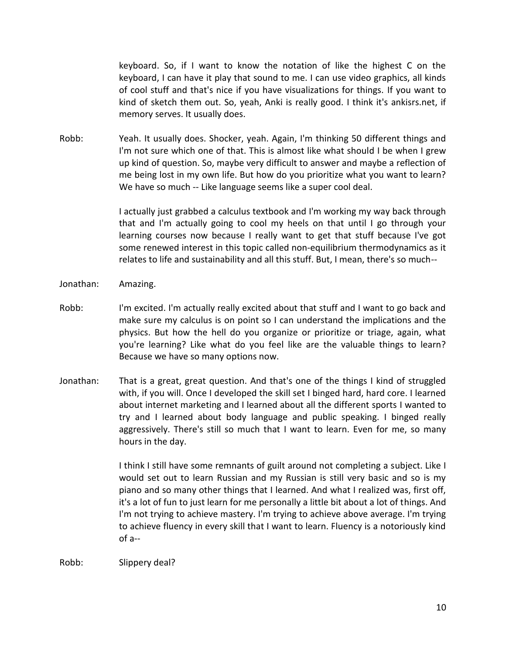keyboard. So, if I want to know the notation of like the highest C on the keyboard, I can have it play that sound to me. I can use video graphics, all kinds of cool stuff and that's nice if you have visualizations for things. If you want to kind of sketch them out. So, yeah, Anki is really good. I think it's ankisrs.net, if memory serves. It usually does.

Robb: Yeah. It usually does. Shocker, yeah. Again, I'm thinking 50 different things and I'm not sure which one of that. This is almost like what should I be when I grew up kind of question. So, maybe very difficult to answer and maybe a reflection of me being lost in my own life. But how do you prioritize what you want to learn? We have so much -- Like language seems like a super cool deal.

> I actually just grabbed a calculus textbook and I'm working my way back through that and I'm actually going to cool my heels on that until I go through your learning courses now because I really want to get that stuff because I've got some renewed interest in this topic called non-equilibrium thermodynamics as it relates to life and sustainability and all this stuff. But, I mean, there's so much--

- Jonathan: Amazing.
- Robb: I'm excited. I'm actually really excited about that stuff and I want to go back and make sure my calculus is on point so I can understand the implications and the physics. But how the hell do you organize or prioritize or triage, again, what you're learning? Like what do you feel like are the valuable things to learn? Because we have so many options now.
- Jonathan: That is a great, great question. And that's one of the things I kind of struggled with, if you will. Once I developed the skill set I binged hard, hard core. I learned about internet marketing and I learned about all the different sports I wanted to try and I learned about body language and public speaking. I binged really aggressively. There's still so much that I want to learn. Even for me, so many hours in the day.

I think I still have some remnants of guilt around not completing a subject. Like I would set out to learn Russian and my Russian is still very basic and so is my piano and so many other things that I learned. And what I realized was, first off, it's a lot of fun to just learn for me personally a little bit about a lot of things. And I'm not trying to achieve mastery. I'm trying to achieve above average. I'm trying to achieve fluency in every skill that I want to learn. Fluency is a notoriously kind of a--

Robb: Slippery deal?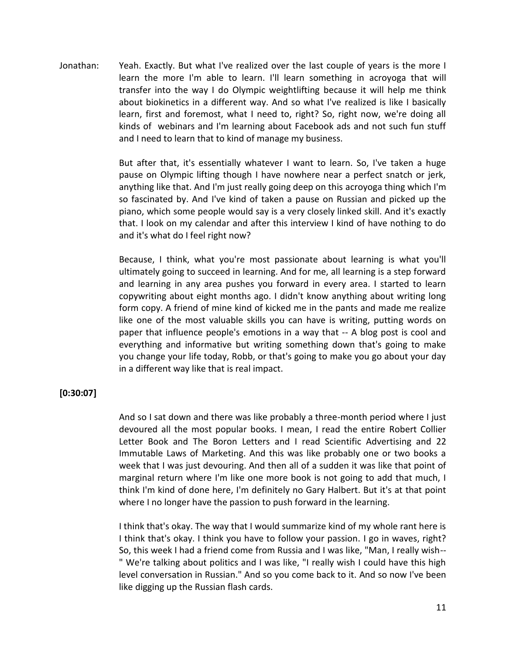Jonathan: Yeah. Exactly. But what I've realized over the last couple of years is the more I learn the more I'm able to learn. I'll learn something in acroyoga that will transfer into the way I do Olympic weightlifting because it will help me think about biokinetics in a different way. And so what I've realized is like I basically learn, first and foremost, what I need to, right? So, right now, we're doing all kinds of webinars and I'm learning about Facebook ads and not such fun stuff and I need to learn that to kind of manage my business.

> But after that, it's essentially whatever I want to learn. So, I've taken a huge pause on Olympic lifting though I have nowhere near a perfect snatch or jerk, anything like that. And I'm just really going deep on this acroyoga thing which I'm so fascinated by. And I've kind of taken a pause on Russian and picked up the piano, which some people would say is a very closely linked skill. And it's exactly that. I look on my calendar and after this interview I kind of have nothing to do and it's what do I feel right now?

> Because, I think, what you're most passionate about learning is what you'll ultimately going to succeed in learning. And for me, all learning is a step forward and learning in any area pushes you forward in every area. I started to learn copywriting about eight months ago. I didn't know anything about writing long form copy. A friend of mine kind of kicked me in the pants and made me realize like one of the most valuable skills you can have is writing, putting words on paper that influence people's emotions in a way that -- A blog post is cool and everything and informative but writing something down that's going to make you change your life today, Robb, or that's going to make you go about your day in a different way like that is real impact.

## **[0:30:07]**

And so I sat down and there was like probably a three-month period where I just devoured all the most popular books. I mean, I read the entire Robert Collier Letter Book and The Boron Letters and I read Scientific Advertising and 22 Immutable Laws of Marketing. And this was like probably one or two books a week that I was just devouring. And then all of a sudden it was like that point of marginal return where I'm like one more book is not going to add that much, I think I'm kind of done here, I'm definitely no Gary Halbert. But it's at that point where I no longer have the passion to push forward in the learning.

I think that's okay. The way that I would summarize kind of my whole rant here is I think that's okay. I think you have to follow your passion. I go in waves, right? So, this week I had a friend come from Russia and I was like, "Man, I really wish-- " We're talking about politics and I was like, "I really wish I could have this high level conversation in Russian." And so you come back to it. And so now I've been like digging up the Russian flash cards.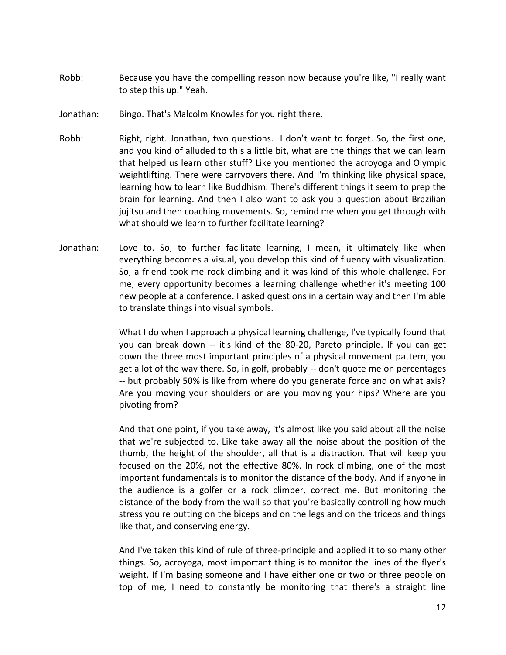- Robb: Because you have the compelling reason now because you're like, "I really want to step this up." Yeah.
- Jonathan: Bingo. That's Malcolm Knowles for you right there.
- Robb: Right, right. Jonathan, two questions. I don't want to forget. So, the first one, and you kind of alluded to this a little bit, what are the things that we can learn that helped us learn other stuff? Like you mentioned the acroyoga and Olympic weightlifting. There were carryovers there. And I'm thinking like physical space, learning how to learn like Buddhism. There's different things it seem to prep the brain for learning. And then I also want to ask you a question about Brazilian jujitsu and then coaching movements. So, remind me when you get through with what should we learn to further facilitate learning?
- Jonathan: Love to. So, to further facilitate learning, I mean, it ultimately like when everything becomes a visual, you develop this kind of fluency with visualization. So, a friend took me rock climbing and it was kind of this whole challenge. For me, every opportunity becomes a learning challenge whether it's meeting 100 new people at a conference. I asked questions in a certain way and then I'm able to translate things into visual symbols.

What I do when I approach a physical learning challenge, I've typically found that you can break down -- it's kind of the 80-20, Pareto principle. If you can get down the three most important principles of a physical movement pattern, you get a lot of the way there. So, in golf, probably -- don't quote me on percentages -- but probably 50% is like from where do you generate force and on what axis? Are you moving your shoulders or are you moving your hips? Where are you pivoting from?

And that one point, if you take away, it's almost like you said about all the noise that we're subjected to. Like take away all the noise about the position of the thumb, the height of the shoulder, all that is a distraction. That will keep you focused on the 20%, not the effective 80%. In rock climbing, one of the most important fundamentals is to monitor the distance of the body. And if anyone in the audience is a golfer or a rock climber, correct me. But monitoring the distance of the body from the wall so that you're basically controlling how much stress you're putting on the biceps and on the legs and on the triceps and things like that, and conserving energy.

And I've taken this kind of rule of three-principle and applied it to so many other things. So, acroyoga, most important thing is to monitor the lines of the flyer's weight. If I'm basing someone and I have either one or two or three people on top of me, I need to constantly be monitoring that there's a straight line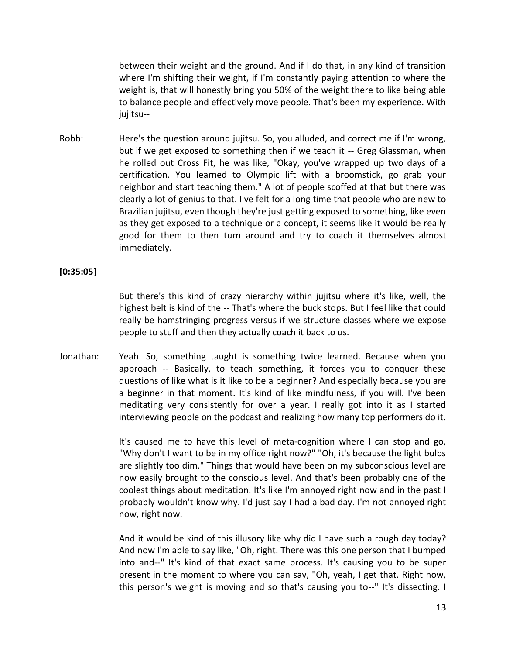between their weight and the ground. And if I do that, in any kind of transition where I'm shifting their weight, if I'm constantly paying attention to where the weight is, that will honestly bring you 50% of the weight there to like being able to balance people and effectively move people. That's been my experience. With jujitsu--

Robb: Here's the question around jujitsu. So, you alluded, and correct me if I'm wrong, but if we get exposed to something then if we teach it -- Greg Glassman, when he rolled out Cross Fit, he was like, "Okay, you've wrapped up two days of a certification. You learned to Olympic lift with a broomstick, go grab your neighbor and start teaching them." A lot of people scoffed at that but there was clearly a lot of genius to that. I've felt for a long time that people who are new to Brazilian jujitsu, even though they're just getting exposed to something, like even as they get exposed to a technique or a concept, it seems like it would be really good for them to then turn around and try to coach it themselves almost immediately.

## **[0:35:05]**

But there's this kind of crazy hierarchy within jujitsu where it's like, well, the highest belt is kind of the -- That's where the buck stops. But I feel like that could really be hamstringing progress versus if we structure classes where we expose people to stuff and then they actually coach it back to us.

Jonathan: Yeah. So, something taught is something twice learned. Because when you approach -- Basically, to teach something, it forces you to conquer these questions of like what is it like to be a beginner? And especially because you are a beginner in that moment. It's kind of like mindfulness, if you will. I've been meditating very consistently for over a year. I really got into it as I started interviewing people on the podcast and realizing how many top performers do it.

> It's caused me to have this level of meta-cognition where I can stop and go, "Why don't I want to be in my office right now?" "Oh, it's because the light bulbs are slightly too dim." Things that would have been on my subconscious level are now easily brought to the conscious level. And that's been probably one of the coolest things about meditation. It's like I'm annoyed right now and in the past I probably wouldn't know why. I'd just say I had a bad day. I'm not annoyed right now, right now.

> And it would be kind of this illusory like why did I have such a rough day today? And now I'm able to say like, "Oh, right. There was this one person that I bumped into and--" It's kind of that exact same process. It's causing you to be super present in the moment to where you can say, "Oh, yeah, I get that. Right now, this person's weight is moving and so that's causing you to--" It's dissecting. I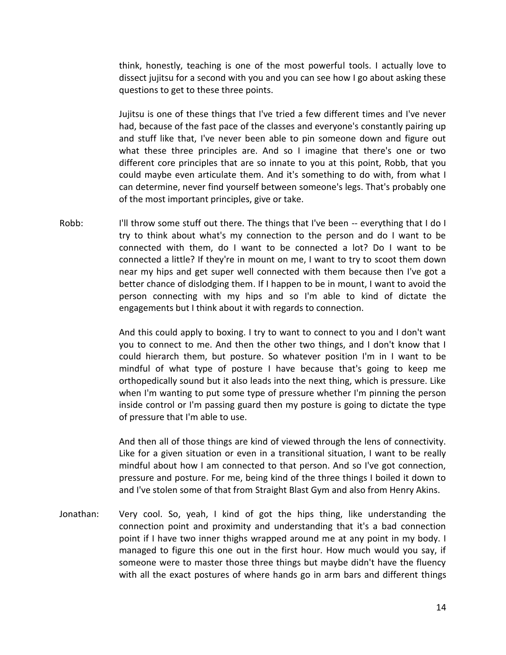think, honestly, teaching is one of the most powerful tools. I actually love to dissect jujitsu for a second with you and you can see how I go about asking these questions to get to these three points.

Jujitsu is one of these things that I've tried a few different times and I've never had, because of the fast pace of the classes and everyone's constantly pairing up and stuff like that, I've never been able to pin someone down and figure out what these three principles are. And so I imagine that there's one or two different core principles that are so innate to you at this point, Robb, that you could maybe even articulate them. And it's something to do with, from what I can determine, never find yourself between someone's legs. That's probably one of the most important principles, give or take.

Robb: I'll throw some stuff out there. The things that I've been -- everything that I do I try to think about what's my connection to the person and do I want to be connected with them, do I want to be connected a lot? Do I want to be connected a little? If they're in mount on me, I want to try to scoot them down near my hips and get super well connected with them because then I've got a better chance of dislodging them. If I happen to be in mount, I want to avoid the person connecting with my hips and so I'm able to kind of dictate the engagements but I think about it with regards to connection.

> And this could apply to boxing. I try to want to connect to you and I don't want you to connect to me. And then the other two things, and I don't know that I could hierarch them, but posture. So whatever position I'm in I want to be mindful of what type of posture I have because that's going to keep me orthopedically sound but it also leads into the next thing, which is pressure. Like when I'm wanting to put some type of pressure whether I'm pinning the person inside control or I'm passing guard then my posture is going to dictate the type of pressure that I'm able to use.

> And then all of those things are kind of viewed through the lens of connectivity. Like for a given situation or even in a transitional situation, I want to be really mindful about how I am connected to that person. And so I've got connection, pressure and posture. For me, being kind of the three things I boiled it down to and I've stolen some of that from Straight Blast Gym and also from Henry Akins.

Jonathan: Very cool. So, yeah, I kind of got the hips thing, like understanding the connection point and proximity and understanding that it's a bad connection point if I have two inner thighs wrapped around me at any point in my body. I managed to figure this one out in the first hour. How much would you say, if someone were to master those three things but maybe didn't have the fluency with all the exact postures of where hands go in arm bars and different things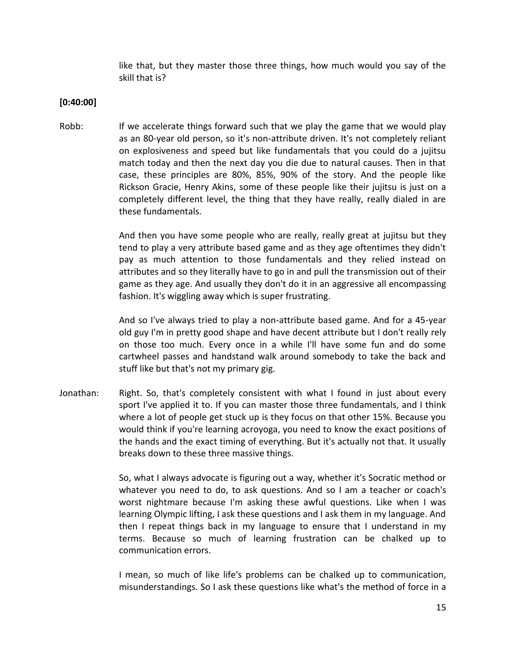like that, but they master those three things, how much would you say of the skill that is?

## **[0:40:00]**

Robb: If we accelerate things forward such that we play the game that we would play as an 80-year old person, so it's non-attribute driven. It's not completely reliant on explosiveness and speed but like fundamentals that you could do a jujitsu match today and then the next day you die due to natural causes. Then in that case, these principles are 80%, 85%, 90% of the story. And the people like Rickson Gracie, Henry Akins, some of these people like their jujitsu is just on a completely different level, the thing that they have really, really dialed in are these fundamentals.

> And then you have some people who are really, really great at jujitsu but they tend to play a very attribute based game and as they age oftentimes they didn't pay as much attention to those fundamentals and they relied instead on attributes and so they literally have to go in and pull the transmission out of their game as they age. And usually they don't do it in an aggressive all encompassing fashion. It's wiggling away which is super frustrating.

> And so I've always tried to play a non-attribute based game. And for a 45-year old guy I'm in pretty good shape and have decent attribute but I don't really rely on those too much. Every once in a while I'll have some fun and do some cartwheel passes and handstand walk around somebody to take the back and stuff like but that's not my primary gig.

Jonathan: Right. So, that's completely consistent with what I found in just about every sport I've applied it to. If you can master those three fundamentals, and I think where a lot of people get stuck up is they focus on that other 15%. Because you would think if you're learning acroyoga, you need to know the exact positions of the hands and the exact timing of everything. But it's actually not that. It usually breaks down to these three massive things.

> So, what I always advocate is figuring out a way, whether it's Socratic method or whatever you need to do, to ask questions. And so I am a teacher or coach's worst nightmare because I'm asking these awful questions. Like when I was learning Olympic lifting, I ask these questions and I ask them in my language. And then I repeat things back in my language to ensure that I understand in my terms. Because so much of learning frustration can be chalked up to communication errors.

> I mean, so much of like life's problems can be chalked up to communication, misunderstandings. So I ask these questions like what's the method of force in a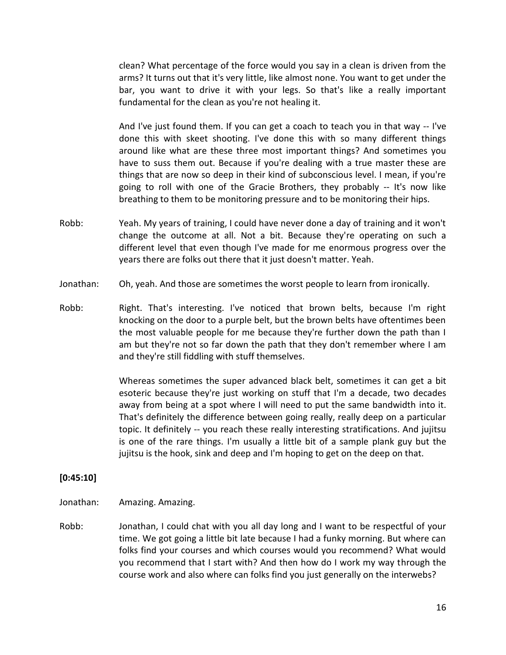clean? What percentage of the force would you say in a clean is driven from the arms? It turns out that it's very little, like almost none. You want to get under the bar, you want to drive it with your legs. So that's like a really important fundamental for the clean as you're not healing it.

And I've just found them. If you can get a coach to teach you in that way -- I've done this with skeet shooting. I've done this with so many different things around like what are these three most important things? And sometimes you have to suss them out. Because if you're dealing with a true master these are things that are now so deep in their kind of subconscious level. I mean, if you're going to roll with one of the Gracie Brothers, they probably -- It's now like breathing to them to be monitoring pressure and to be monitoring their hips.

- Robb: Yeah. My years of training, I could have never done a day of training and it won't change the outcome at all. Not a bit. Because they're operating on such a different level that even though I've made for me enormous progress over the years there are folks out there that it just doesn't matter. Yeah.
- Jonathan: Oh, yeah. And those are sometimes the worst people to learn from ironically.
- Robb: Right. That's interesting. I've noticed that brown belts, because I'm right knocking on the door to a purple belt, but the brown belts have oftentimes been the most valuable people for me because they're further down the path than I am but they're not so far down the path that they don't remember where I am and they're still fiddling with stuff themselves.

Whereas sometimes the super advanced black belt, sometimes it can get a bit esoteric because they're just working on stuff that I'm a decade, two decades away from being at a spot where I will need to put the same bandwidth into it. That's definitely the difference between going really, really deep on a particular topic. It definitely -- you reach these really interesting stratifications. And jujitsu is one of the rare things. I'm usually a little bit of a sample plank guy but the jujitsu is the hook, sink and deep and I'm hoping to get on the deep on that.

#### **[0:45:10]**

- Jonathan: Amazing. Amazing.
- Robb: Jonathan, I could chat with you all day long and I want to be respectful of your time. We got going a little bit late because I had a funky morning. But where can folks find your courses and which courses would you recommend? What would you recommend that I start with? And then how do I work my way through the course work and also where can folks find you just generally on the interwebs?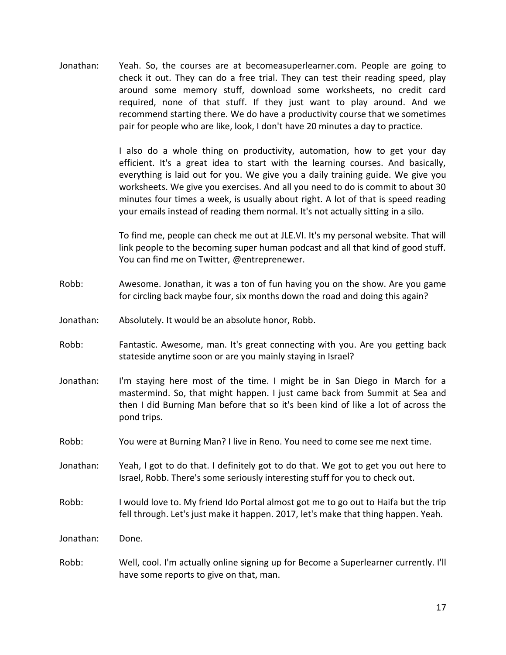Jonathan: Yeah. So, the courses are at becomeasuperlearner.com. People are going to check it out. They can do a free trial. They can test their reading speed, play around some memory stuff, download some worksheets, no credit card required, none of that stuff. If they just want to play around. And we recommend starting there. We do have a productivity course that we sometimes pair for people who are like, look, I don't have 20 minutes a day to practice.

> I also do a whole thing on productivity, automation, how to get your day efficient. It's a great idea to start with the learning courses. And basically, everything is laid out for you. We give you a daily training guide. We give you worksheets. We give you exercises. And all you need to do is commit to about 30 minutes four times a week, is usually about right. A lot of that is speed reading your emails instead of reading them normal. It's not actually sitting in a silo.

> To find me, people can check me out at JLE.VI. It's my personal website. That will link people to the becoming super human podcast and all that kind of good stuff. You can find me on Twitter, @entreprenewer.

- Robb: Awesome. Jonathan, it was a ton of fun having you on the show. Are you game for circling back maybe four, six months down the road and doing this again?
- Jonathan: Absolutely. It would be an absolute honor, Robb.
- Robb: Fantastic. Awesome, man. It's great connecting with you. Are you getting back stateside anytime soon or are you mainly staying in Israel?
- Jonathan: I'm staying here most of the time. I might be in San Diego in March for a mastermind. So, that might happen. I just came back from Summit at Sea and then I did Burning Man before that so it's been kind of like a lot of across the pond trips.
- Robb: You were at Burning Man? I live in Reno. You need to come see me next time.
- Jonathan: Yeah, I got to do that. I definitely got to do that. We got to get you out here to Israel, Robb. There's some seriously interesting stuff for you to check out.
- Robb: I would love to. My friend Ido Portal almost got me to go out to Haifa but the trip fell through. Let's just make it happen. 2017, let's make that thing happen. Yeah.
- Jonathan: Done.
- Robb: Well, cool. I'm actually online signing up for Become a Superlearner currently. I'll have some reports to give on that, man.